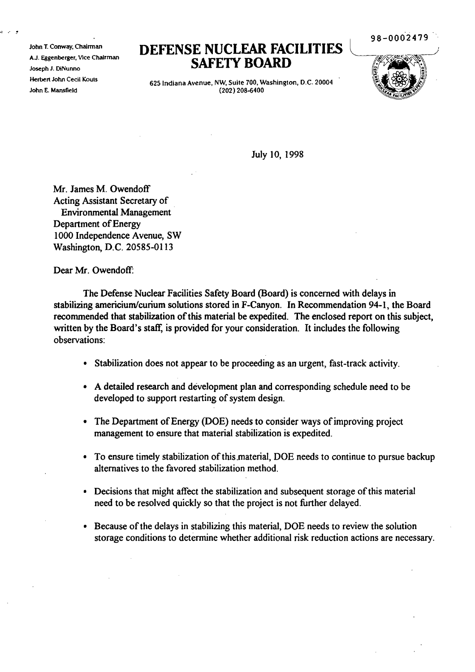John T. Conway, Chairman AJ. Eggenberger, VIce Chairman Joseph J. DiNunno Herbert John Cecil Kouts John E. Mansfield

## **DEFENSE NUCLEAR FACILITIES SAFETY BOARD**

98-0002479

625 Indiana Avenue, NW. Suite 700, Washington, D.C. 20004 (202) 208-6400

July 10, 1998

Mr. James M. Owendoff Acting Assistant Secretary of Environmental Management Department of Energy 1000 Independence Avenue, SW Washington, D.C. 20585-0113

Dear Mr. Owendoff:

The Defense Nuclear Facilities Safety Board (Board) is concerned with delays in stabilizing americium/curium solutions stored in F-Canyon. In Recommendation 94-1, the Board recommended that stabilization of this material be expedited. The enclosed report on this subject, written by the Board's staff, is provided for your consideration. It includes the following observations:

- Stabilization does not appear to be proceeding as an urgent, fast-track activity.
- A detailed research and development plan and corresponding schedule need to be developed to support restarting of system design.
- The Department of Energy (DOE) needs to consider ways of improving project management to ensure that material stabilization is expedited.
- To ensure timely stabilization of this material, DOE needs to continue to pursue backup alternatives to the favored stabilization method.
- Decisions that might affect the stabilization and subsequent storage of this material need to be resolved quickly so that the project is not further delayed.
- Because of the delays in stabilizing this material, DOE needs to review the solution storage conditions to determine whether additional risk reduction actions are necessary.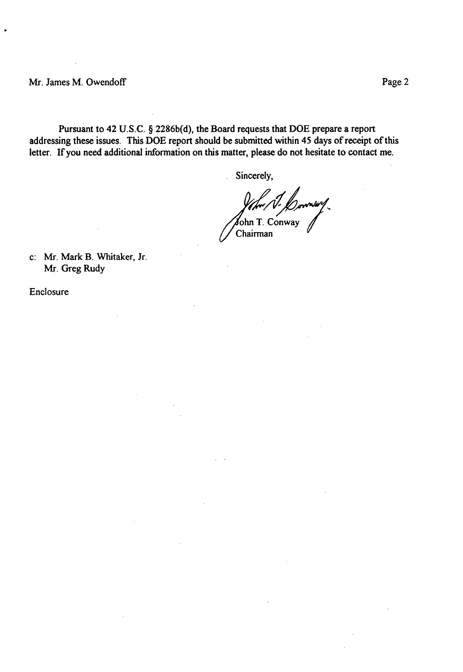Pursuant to 42 U.S.C. § 2286b(d), the Board requests that DOE prepare a report addressing these issues. This DOE report should be submitted within 45 days of receipt of this letter. If you need additional information on this matter, please do not hesitate to contact me.

Sincerely,

ohn T. Conway Chairman

c: Mr. Mark B. Whitaker, Jr. Mr. Greg Rudy

Enclosure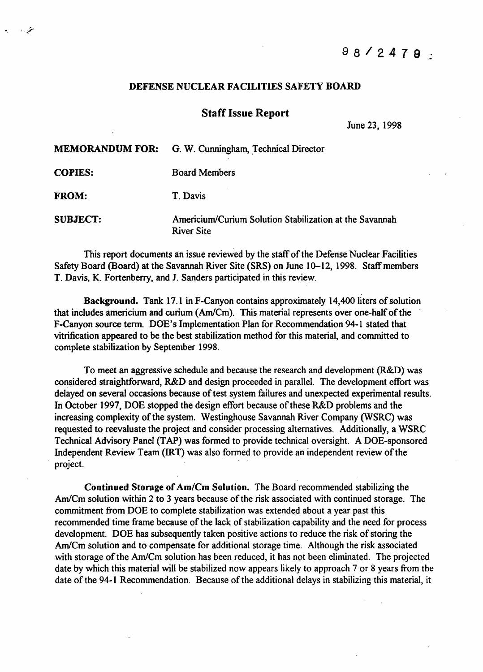## DEFENSE NUCLEAR FACILITIES SAFETY BOARD

•. *.j-*

## Staff Issue Report

June 23, 1998

|                 | <b>MEMORANDUM FOR:</b> G. W. Cunningham, Technical Director                  |
|-----------------|------------------------------------------------------------------------------|
| <b>COPIES:</b>  | <b>Board Members</b>                                                         |
| <b>FROM:</b>    | T. Davis                                                                     |
| <b>SUBJECT:</b> | Americium/Curium Solution Stabilization at the Savannah<br><b>River Site</b> |

This report documents an issue reviewed by the staff of the Defense Nuclear Facilities Safety Board (Board) at the Savannah River Site (SRS) on June 10-12, 1998. Staff members T. Davis, K. Fortenberry, and 1. Sanders participated in this review.

Background. Tank 17.1 in F-Canyon contains approximately 14,400 liters of solution that includes americium and curium (Am/Cm). This material represents over one-half of the F-Canyon source term. DOE's Implementation Plan for Recommendation 94-1 stated that vitrification appeared to be the best stabilization method for this material, and committed to complete stabilization by September 1998.

To meet an aggressive schedule and because the research and development (R&D) was considered straightforward, R&D and design proceeded in parallel. The development effort was delayed on several occasions because of test system failures and unexpected experimental results. In October 1997, DOE stopped the design effort because of these R&D problems and the increasing complexity of the system. Westinghouse Savannah River Company (WSRC) was requested to reevaluate the project and consider processing alternatives. Additionally, a WSRC Technical Advisory Panel (TAP) was formed to provide technical oversight. A DOE-sponsored Independent Review Team (IRT) was also formed to provide an independent review of the project. .

Continued Storage of Am/Cm Solution. The Board recommended stabilizing the Am/Cm solution within 2 to 3 years because of the risk associated with continued storage. The commitment from DOE to complete stabilization was extended about a year past this recommended time frame because of the lack of stabilization capability and the need for process development. DOE has subsequently taken positive actions to reduce the risk of storing the Arn/Cm solution and to compensate for additional storage time. Although the risk associated with storage of the Am/Cm solution has been reduced, it has not been eliminated. The projected date by which this material will be stabilized now appears likely to approach 7 or 8 years from the date of the 94-1 Recommendation. Because of the additional delays in stabilizing this material, it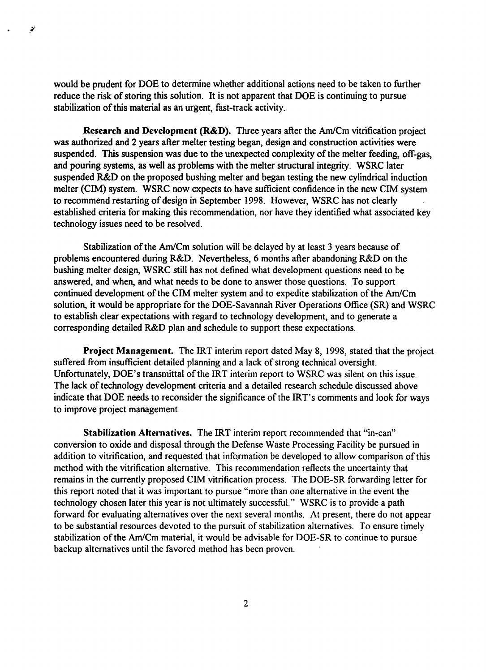would be prudent for DOE to determine whether additional actions need to be taken to further reduce the risk of storing this solution. It is not apparent that DOE is continuing to pursue stabilization of this material as an urgent, fast-track activity.

*ii*

Research and Development (R&D). Three years after the Am/Cm vitrification project was authorized and 2 years after melter testing began, design and construction activities were suspended. This suspension was due to the unexpected complexity of the melter feeding, off-gas, and pouring systems, as well as problems with the melter structural integrity. WSRC later suspended R&D on the proposed bushing melter and began testing the new cylindrical induction meher (CIM) system. WSRC now expects to have sufficient confidence in the new CIM system to recommend restarting of design in September 1998. However, WSRC has not clearly established criteria for making this recommendation, nor have they identified what associated key technology issues need to be resolved.

Stabilization of the Am/Cm solution will be delayed by at least 3 years because of problems encountered during R&D. Nevertheless, 6 months after abandoning R&D on the bushing melter design, WSRC still has not defined what development questions need to be answered, and when, and what needs to be done to answer those questions. To support continued development of the CIM melter system and to expedite stabilization of the Am/Cm solution, it would be appropriate for the DOE-Savannah River Operations Office (SR) and WSRC to establish clear expectations with regard to technology development, and to generate a corresponding detailed R&D plan and schedule to support these expectations.

Project Management. The IRT interim report dated May 8, 1998, stated that the project suffered from insufficient detailed planning and a lack of strong technical oversight. Unfortunately, DOE's transmittal of the IRT interim report to WSRC was silent on this issue. The lack of technology development criteria and a detailed research schedule discussed above indicate that DOE needs to reconsider the significance of the IRT's comments and look for ways to improve project management.

Stabilization Alternatives. The IRT interim report recommended that "in-can" conversion to oxide and disposal through the Defense Waste Processing Facility be pursued in addition to vitrification, and requested that information be developed to allow comparison of this method with the vitrification alternative. This recommendation reflects the uncertainty that remains in the currently proposed CIM vitrification process. The DOE-SR forwarding letter for this report noted that it was important to pursue "more than one alternative in the event the technology chosen later this year is not ultimately successful." WSRC is to provide a path forward for evaluating alternatives over the next several months. At present, there do not appear to be substantial resources devoted to the pursuit of stabilization alternatives. To ensure timely stabilization of the Am/Cm material, it would be advisable for DOE-SR to continue to pursue backup alternatives until the favored method has been proven.